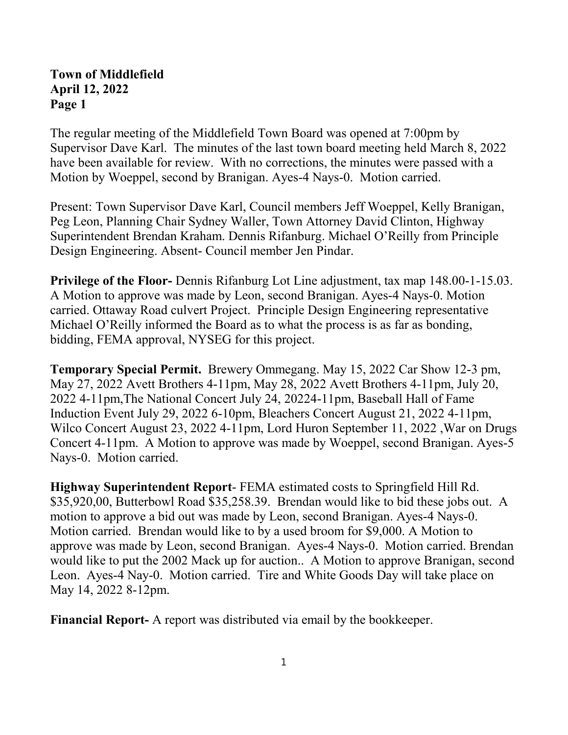## **Town of Middlefield April 12, 2022 Page 1**

The regular meeting of the Middlefield Town Board was opened at 7:00pm by Supervisor Dave Karl. The minutes of the last town board meeting held March 8, 2022 have been available for review. With no corrections, the minutes were passed with a Motion by Woeppel, second by Branigan. Ayes-4 Nays-0. Motion carried.

Present: Town Supervisor Dave Karl, Council members Jeff Woeppel, Kelly Branigan, Peg Leon, Planning Chair Sydney Waller, Town Attorney David Clinton, Highway Superintendent Brendan Kraham. Dennis Rifanburg. Michael O'Reilly from Principle Design Engineering. Absent- Council member Jen Pindar.

**Privilege of the Floor-** Dennis Rifanburg Lot Line adjustment, tax map 148.00-1-15.03. A Motion to approve was made by Leon, second Branigan. Ayes-4 Nays-0. Motion carried. Ottaway Road culvert Project. Principle Design Engineering representative Michael O'Reilly informed the Board as to what the process is as far as bonding, bidding, FEMA approval, NYSEG for this project.

**Temporary Special Permit.** Brewery Ommegang. May 15, 2022 Car Show 12-3 pm, May 27, 2022 Avett Brothers 4-11pm, May 28, 2022 Avett Brothers 4-11pm, July 20, 2022 4-11pm,The National Concert July 24, 20224-11pm, Baseball Hall of Fame Induction Event July 29, 2022 6-10pm, Bleachers Concert August 21, 2022 4-11pm, Wilco Concert August 23, 2022 4-11pm, Lord Huron September 11, 2022 ,War on Drugs Concert 4-11pm. A Motion to approve was made by Woeppel, second Branigan. Ayes-5 Nays-0. Motion carried.

**Highway Superintendent Report**- FEMA estimated costs to Springfield Hill Rd. \$35,920,00, Butterbowl Road \$35,258.39. Brendan would like to bid these jobs out. A motion to approve a bid out was made by Leon, second Branigan. Ayes-4 Nays-0. Motion carried. Brendan would like to by a used broom for \$9,000. A Motion to approve was made by Leon, second Branigan. Ayes-4 Nays-0. Motion carried. Brendan would like to put the 2002 Mack up for auction.. A Motion to approve Branigan, second Leon. Ayes-4 Nay-0. Motion carried. Tire and White Goods Day will take place on May 14, 2022 8-12pm.

**Financial Report-** A report was distributed via email by the bookkeeper.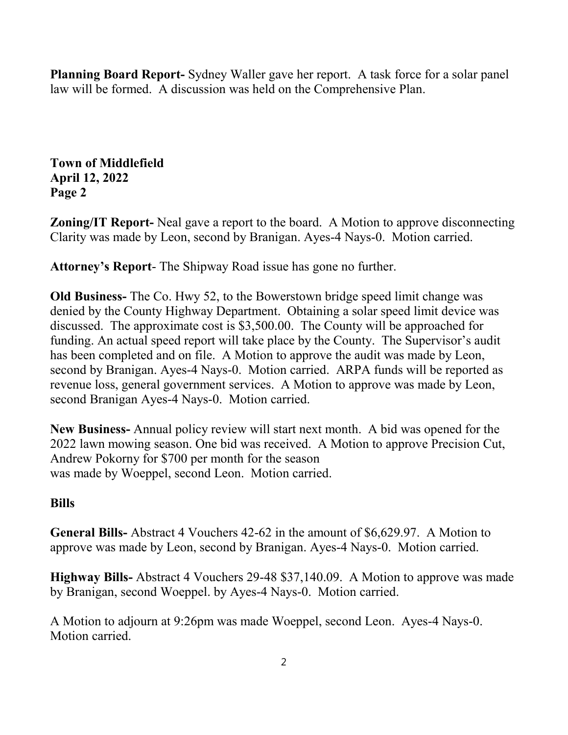**Planning Board Report-** Sydney Waller gave her report. A task force for a solar panel law will be formed. A discussion was held on the Comprehensive Plan.

**Town of Middlefield April 12, 2022 Page 2**

**Zoning/IT Report-** Neal gave a report to the board. A Motion to approve disconnecting Clarity was made by Leon, second by Branigan. Ayes-4 Nays-0. Motion carried.

**Attorney's Report**- The Shipway Road issue has gone no further.

**Old Business-** The Co. Hwy 52, to the Bowerstown bridge speed limit change was denied by the County Highway Department. Obtaining a solar speed limit device was discussed. The approximate cost is \$3,500.00. The County will be approached for funding. An actual speed report will take place by the County. The Supervisor's audit has been completed and on file. A Motion to approve the audit was made by Leon, second by Branigan. Ayes-4 Nays-0. Motion carried. ARPA funds will be reported as revenue loss, general government services. A Motion to approve was made by Leon, second Branigan Ayes-4 Nays-0. Motion carried.

**New Business-** Annual policy review will start next month. A bid was opened for the 2022 lawn mowing season. One bid was received. A Motion to approve Precision Cut, Andrew Pokorny for \$700 per month for the season was made by Woeppel, second Leon. Motion carried.

## **Bills**

**General Bills-** Abstract 4 Vouchers 42-62 in the amount of \$6,629.97. A Motion to approve was made by Leon, second by Branigan. Ayes-4 Nays-0. Motion carried.

**Highway Bills-** Abstract 4 Vouchers 29-48 \$37,140.09. A Motion to approve was made by Branigan, second Woeppel. by Ayes-4 Nays-0. Motion carried.

A Motion to adjourn at 9:26pm was made Woeppel, second Leon. Ayes-4 Nays-0. Motion carried.